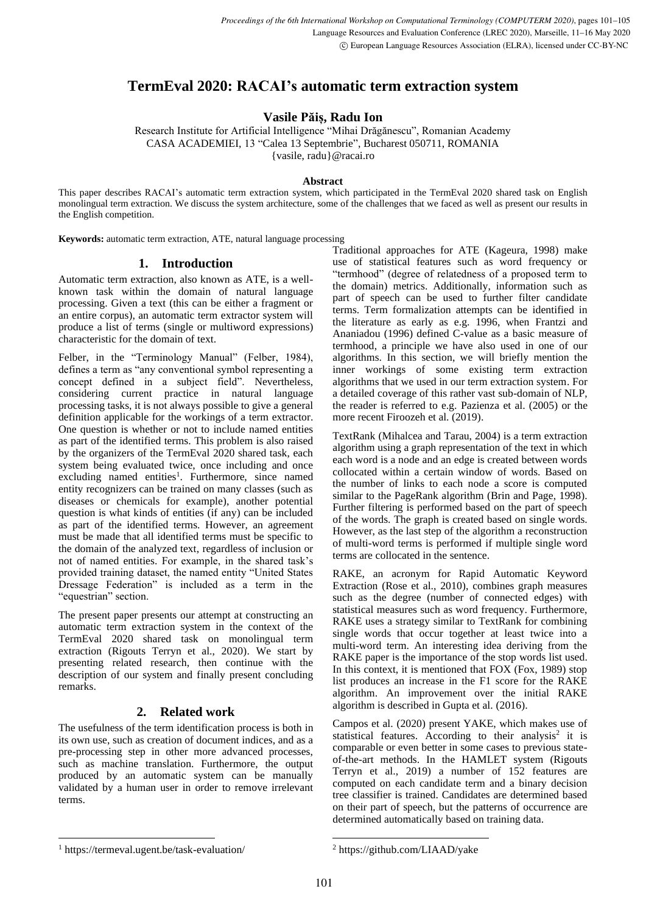# **TermEval 2020: RACAI's automatic term extraction system**

**Vasile Păiș, Radu Ion**

Research Institute for Artificial Intelligence "Mihai Drăgănescu", Romanian Academy CASA ACADEMIEI, 13 "Calea 13 Septembrie", Bucharest 050711, ROMANIA {vasile, radu}@racai.ro

### **Abstract**

This paper describes RACAI's automatic term extraction system, which participated in the TermEval 2020 shared task on English monolingual term extraction. We discuss the system architecture, some of the challenges that we faced as well as present our results in the English competition.

**Keywords:** automatic term extraction, ATE, natural language processing

## **1. Introduction**

Automatic term extraction, also known as ATE, is a wellknown task within the domain of natural language processing. Given a text (this can be either a fragment or an entire corpus), an automatic term extractor system will produce a list of terms (single or multiword expressions) characteristic for the domain of text.

Felber, in the "Terminology Manual" (Felber, 1984), defines a term as "any conventional symbol representing a concept defined in a subject field". Nevertheless, considering current practice in natural language processing tasks, it is not always possible to give a general definition applicable for the workings of a term extractor. One question is whether or not to include named entities as part of the identified terms. This problem is also raised by the organizers of the TermEval 2020 shared task, each system being evaluated twice, once including and once excluding named entities<sup>1</sup>. Furthermore, since named entity recognizers can be trained on many classes (such as diseases or chemicals for example), another potential question is what kinds of entities (if any) can be included as part of the identified terms. However, an agreement must be made that all identified terms must be specific to the domain of the analyzed text, regardless of inclusion or not of named entities. For example, in the shared task's provided training dataset, the named entity "United States Dressage Federation" is included as a term in the "equestrian" section.

The present paper presents our attempt at constructing an automatic term extraction system in the context of the TermEval 2020 shared task on monolingual term extraction (Rigouts Terryn et al., 2020). We start by presenting related research, then continue with the description of our system and finally present concluding remarks.

# **2. Related work**

The usefulness of the term identification process is both in its own use, such as creation of document indices, and as a pre-processing step in other more advanced processes, such as machine translation. Furthermore, the output produced by an automatic system can be manually validated by a human user in order to remove irrelevant terms.

Traditional approaches for ATE (Kageura, 1998) make use of statistical features such as word frequency or "termhood" (degree of relatedness of a proposed term to the domain) metrics. Additionally, information such as part of speech can be used to further filter candidate terms. Term formalization attempts can be identified in the literature as early as e.g. 1996, when Frantzi and Ananiadou (1996) defined C-value as a basic measure of termhood, a principle we have also used in one of our algorithms. In this section, we will briefly mention the inner workings of some existing term extraction algorithms that we used in our term extraction system. For a detailed coverage of this rather vast sub-domain of NLP, the reader is referred to e.g. Pazienza et al. (2005) or the more recent Firoozeh et al. (2019).

TextRank (Mihalcea and Tarau, 2004) is a term extraction algorithm using a graph representation of the text in which each word is a node and an edge is created between words collocated within a certain window of words. Based on the number of links to each node a score is computed similar to the PageRank algorithm (Brin and Page, 1998). Further filtering is performed based on the part of speech of the words. The graph is created based on single words. However, as the last step of the algorithm a reconstruction of multi-word terms is performed if multiple single word terms are collocated in the sentence.

RAKE, an acronym for Rapid Automatic Keyword Extraction (Rose et al., 2010), combines graph measures such as the degree (number of connected edges) with statistical measures such as word frequency. Furthermore, RAKE uses a strategy similar to TextRank for combining single words that occur together at least twice into a multi-word term. An interesting idea deriving from the RAKE paper is the importance of the stop words list used. In this context, it is mentioned that FOX (Fox, 1989) stop list produces an increase in the F1 score for the RAKE algorithm. An improvement over the initial RAKE algorithm is described in Gupta et al. (2016).

Campos et al. (2020) present YAKE, which makes use of statistical features. According to their analysis<sup>2</sup> it is comparable or even better in some cases to previous stateof-the-art methods. In the HAMLET system (Rigouts Terryn et al., 2019) a number of 152 features are computed on each candidate term and a binary decision tree classifier is trained. Candidates are determined based on their part of speech, but the patterns of occurrence are determined automatically based on training data.

<sup>1</sup> https://termeval.ugent.be/task-evaluation/

<sup>2</sup> https://github.com/LIAAD/yake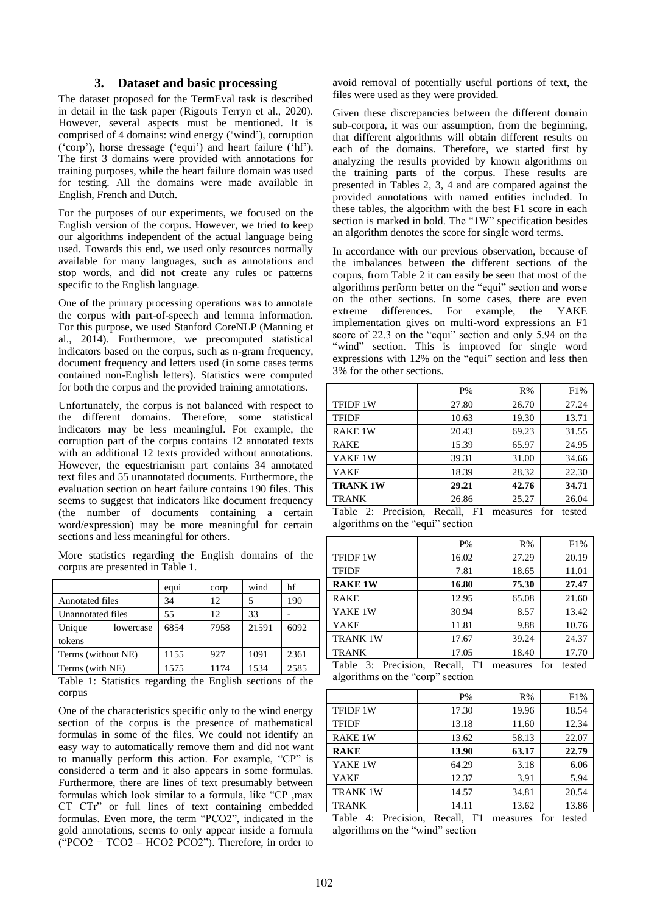#### **3. Dataset and basic processing**

The dataset proposed for the TermEval task is described in detail in the task paper (Rigouts Terryn et al., 2020). However, several aspects must be mentioned. It is comprised of 4 domains: wind energy ('wind'), corruption ('corp'), horse dressage ('equi') and heart failure ('hf'). The first 3 domains were provided with annotations for training purposes, while the heart failure domain was used for testing. All the domains were made available in English, French and Dutch.

For the purposes of our experiments, we focused on the English version of the corpus. However, we tried to keep our algorithms independent of the actual language being used. Towards this end, we used only resources normally available for many languages, such as annotations and stop words, and did not create any rules or patterns specific to the English language.

One of the primary processing operations was to annotate the corpus with part-of-speech and lemma information. For this purpose, we used Stanford CoreNLP (Manning et al., 2014). Furthermore, we precomputed statistical indicators based on the corpus, such as n-gram frequency, document frequency and letters used (in some cases terms contained non-English letters). Statistics were computed for both the corpus and the provided training annotations.

Unfortunately, the corpus is not balanced with respect to the different domains. Therefore, some statistical indicators may be less meaningful. For example, the corruption part of the corpus contains 12 annotated texts with an additional 12 texts provided without annotations. However, the equestrianism part contains 34 annotated text files and 55 unannotated documents. Furthermore, the evaluation section on heart failure contains 190 files. This seems to suggest that indicators like document frequency (the number of documents containing a certain word/expression) may be more meaningful for certain sections and less meaningful for others.

More statistics regarding the English domains of the corpus are presented in Table 1.

|                        | equ <sub>1</sub> | corp | wind  | hf   |
|------------------------|------------------|------|-------|------|
| <b>Annotated files</b> | 34               | 12   |       | 190  |
| Unannotated files      | 55               | 12.  | 33    |      |
| Unique<br>lowercase    | 6854             | 7958 | 21591 | 6092 |
| tokens                 |                  |      |       |      |
| Terms (without NE)     | 1155             | 927  | 1091  | 2361 |
| Terms (with NE)        | 1575             | 1174 | 1534  | 2585 |

Table 1: Statistics regarding the English sections of the corpus

One of the characteristics specific only to the wind energy section of the corpus is the presence of mathematical formulas in some of the files. We could not identify an easy way to automatically remove them and did not want to manually perform this action. For example, "CP" is considered a term and it also appears in some formulas. Furthermore, there are lines of text presumably between formulas which look similar to a formula, like "CP ,max CT CTr" or full lines of text containing embedded formulas. Even more, the term "PCO2", indicated in the gold annotations, seems to only appear inside a formula  $("PCO2 = TCO2 - HCO2 PCO2")$ . Therefore, in order to

avoid removal of potentially useful portions of text, the files were used as they were provided.

Given these discrepancies between the different domain sub-corpora, it was our assumption, from the beginning, that different algorithms will obtain different results on each of the domains. Therefore, we started first by analyzing the results provided by known algorithms on the training parts of the corpus. These results are presented in Tables 2, 3, 4 and are compared against the provided annotations with named entities included. In these tables, the algorithm with the best F1 score in each section is marked in bold. The "1W" specification besides an algorithm denotes the score for single word terms.

In accordance with our previous observation, because of the imbalances between the different sections of the corpus, from Table 2 it can easily be seen that most of the algorithms perform better on the "equi" section and worse on the other sections. In some cases, there are even extreme differences. For example, the YAKE implementation gives on multi-word expressions an F1 score of 22.3 on the "equi" section and only 5.94 on the "wind" section. This is improved for single word expressions with 12% on the "equi" section and less then 3% for the other sections.

|                                                   | $P\%$                                | R%    | F1%               |
|---------------------------------------------------|--------------------------------------|-------|-------------------|
| <b>TFIDF 1W</b>                                   | 27.80                                | 26.70 | 27.24             |
| <b>TFIDF</b>                                      | 10.63                                | 19.30 | 13.71             |
| <b>RAKE 1W</b>                                    | 20.43                                | 69.23 | 31.55             |
| <b>RAKE</b>                                       | 15.39                                | 65.97 | 24.95             |
| YAKE 1W                                           | 39.31                                | 31.00 | 34.66             |
| YAKE                                              | 18.39                                | 28.32 | 22.30             |
| <b>TRANK 1W</b>                                   | 29.21                                | 42.76 | 34.71             |
| <b>TRANK</b>                                      | 26.86                                | 25.27 | 26.04             |
| . .<br>$\mathbf{m}$ 11 $\mathbf{a}$<br>$\sqrt{ }$ | $\mathbf{r}$<br>$11 \quad \text{m1}$ |       | $\epsilon$<br>. 1 |

Table 2: Precision, Recall, F1 measures for tested algorithms on the "equi" section

|                                                                              | $P\%$                   | R%               | F1%                                                 |
|------------------------------------------------------------------------------|-------------------------|------------------|-----------------------------------------------------|
| <b>TFIDF 1W</b>                                                              | 16.02                   | 27.29            | 20.19                                               |
| <b>TFIDF</b>                                                                 | 7.81                    | 18.65            | 11.01                                               |
| <b>RAKE 1W</b>                                                               | 16.80                   | 75.30            | 27.47                                               |
| <b>RAKE</b>                                                                  | 12.95                   | 65.08            | 21.60                                               |
| YAKE 1W                                                                      | 30.94                   | 8.57             | 13.42                                               |
| YAKE                                                                         | 11.81                   | 9.88             | 10.76                                               |
| <b>TRANK 1W</b>                                                              | 17.67                   | 39.24            | 24.37                                               |
| <b>TRANK</b>                                                                 | 17.05                   | 18.40            | 17.70                                               |
| $T_{\rm b}1.1.02$<br>$\mathbf{D}_{\text{max}}$ and $\mathbf{L}_{\text{max}}$ | <b>171</b><br>$D = -11$ | --- - - ------ - | $\mathbf{r}_{\text{max}}$ $\mathbf{r}_{\text{max}}$ |

|  | Table 3: Precision, Recall, F1 measures for tested |  |  |  |
|--|----------------------------------------------------|--|--|--|
|  | algorithms on the "corp" section                   |  |  |  |

|                 | $P\%$ | R%    | F1%   |
|-----------------|-------|-------|-------|
| <b>TFIDF 1W</b> | 17.30 | 19.96 | 18.54 |
| <b>TFIDF</b>    | 13.18 | 11.60 | 12.34 |
| <b>RAKE 1W</b>  | 13.62 | 58.13 | 22.07 |
| <b>RAKE</b>     | 13.90 | 63.17 | 22.79 |
| YAKE 1W         | 64.29 | 3.18  | 6.06  |
| YAKE            | 12.37 | 3.91  | 5.94  |
| <b>TRANK 1W</b> | 14.57 | 34.81 | 20.54 |
| TRANK           | 14.11 | 13.62 | 13.86 |

Table 4: Precision, Recall, F1 measures for tested algorithms on the "wind" section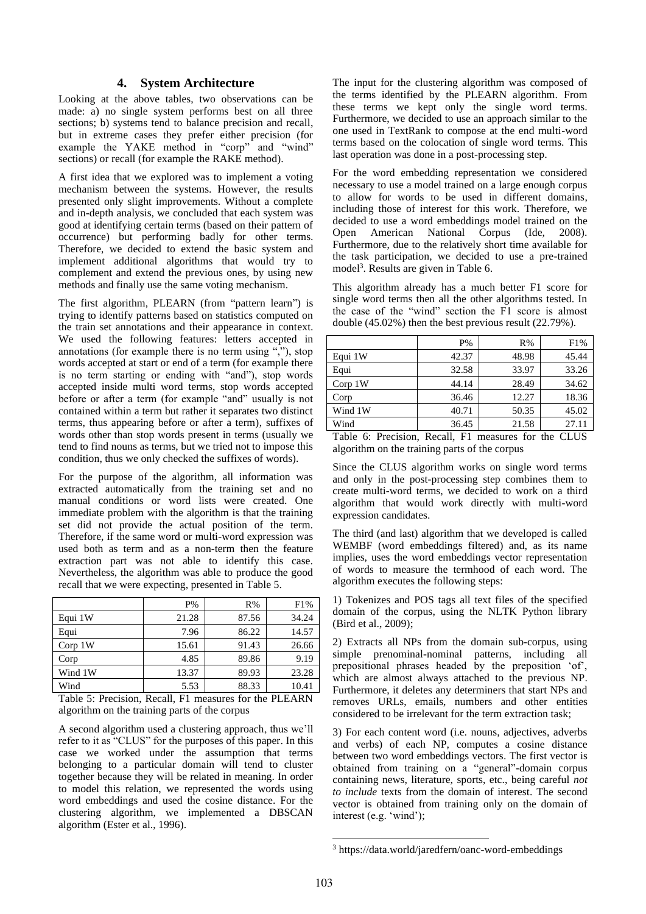#### **4. System Architecture**

Looking at the above tables, two observations can be made: a) no single system performs best on all three sections; b) systems tend to balance precision and recall, but in extreme cases they prefer either precision (for example the YAKE method in "corp" and "wind" sections) or recall (for example the RAKE method).

A first idea that we explored was to implement a voting mechanism between the systems. However, the results presented only slight improvements. Without a complete and in-depth analysis, we concluded that each system was good at identifying certain terms (based on their pattern of occurrence) but performing badly for other terms. Therefore, we decided to extend the basic system and implement additional algorithms that would try to complement and extend the previous ones, by using new methods and finally use the same voting mechanism.

The first algorithm, PLEARN (from "pattern learn") is trying to identify patterns based on statistics computed on the train set annotations and their appearance in context. We used the following features: letters accepted in annotations (for example there is no term using ","), stop words accepted at start or end of a term (for example there is no term starting or ending with "and"), stop words accepted inside multi word terms, stop words accepted before or after a term (for example "and" usually is not contained within a term but rather it separates two distinct terms, thus appearing before or after a term), suffixes of words other than stop words present in terms (usually we tend to find nouns as terms, but we tried not to impose this condition, thus we only checked the suffixes of words).

For the purpose of the algorithm, all information was extracted automatically from the training set and no manual conditions or word lists were created. One immediate problem with the algorithm is that the training set did not provide the actual position of the term. Therefore, if the same word or multi-word expression was used both as term and as a non-term then the feature extraction part was not able to identify this case. Nevertheless, the algorithm was able to produce the good recall that we were expecting, presented in Table 5.

|                     | $P\%$ | R%    | F1%   |
|---------------------|-------|-------|-------|
| Equi 1W             | 21.28 | 87.56 | 34.24 |
| Equi                | 7.96  | 86.22 | 14.57 |
| Corp <sub>1</sub> W | 15.61 | 91.43 | 26.66 |
| Corp                | 4.85  | 89.86 | 9.19  |
| Wind 1W             | 13.37 | 89.93 | 23.28 |
| Wind                | 5.53  | 88.33 | 10.41 |

Table 5: Precision, Recall, F1 measures for the PLEARN algorithm on the training parts of the corpus

A second algorithm used a clustering approach, thus we'll refer to it as "CLUS" for the purposes of this paper. In this case we worked under the assumption that terms belonging to a particular domain will tend to cluster together because they will be related in meaning. In order to model this relation, we represented the words using word embeddings and used the cosine distance. For the clustering algorithm, we implemented a DBSCAN algorithm (Ester et al., 1996).

The input for the clustering algorithm was composed of the terms identified by the PLEARN algorithm. From these terms we kept only the single word terms. Furthermore, we decided to use an approach similar to the one used in TextRank to compose at the end multi-word terms based on the colocation of single word terms. This last operation was done in a post-processing step.

For the word embedding representation we considered necessary to use a model trained on a large enough corpus to allow for words to be used in different domains, including those of interest for this work. Therefore, we decided to use a word embeddings model trained on the Open American National Corpus (Ide, 2008). Furthermore, due to the relatively short time available for the task participation, we decided to use a pre-trained model<sup>3</sup>. Results are given in Table 6.

This algorithm already has a much better F1 score for single word terms then all the other algorithms tested. In the case of the "wind" section the F1 score is almost double (45.02%) then the best previous result (22.79%).

|                    | $P\%$ | R%    | F1%   |
|--------------------|-------|-------|-------|
| Equi 1W            | 42.37 | 48.98 | 45.44 |
| Equi               | 32.58 | 33.97 | 33.26 |
| Corp <sub>1W</sub> | 44.14 | 28.49 | 34.62 |
| Corp               | 36.46 | 12.27 | 18.36 |
| Wind 1W            | 40.71 | 50.35 | 45.02 |
| Wind               | 36.45 | 21.58 | 27.11 |

Table 6: Precision, Recall, F1 measures for the CLUS algorithm on the training parts of the corpus

Since the CLUS algorithm works on single word terms and only in the post-processing step combines them to create multi-word terms, we decided to work on a third algorithm that would work directly with multi-word expression candidates.

The third (and last) algorithm that we developed is called WEMBF (word embeddings filtered) and, as its name implies, uses the word embeddings vector representation of words to measure the termhood of each word. The algorithm executes the following steps:

1) Tokenizes and POS tags all text files of the specified domain of the corpus, using the NLTK Python library (Bird et al., 2009);

2) Extracts all NPs from the domain sub-corpus, using simple prenominal-nominal patterns, including all prepositional phrases headed by the preposition 'of', which are almost always attached to the previous NP. Furthermore, it deletes any determiners that start NPs and removes URLs, emails, numbers and other entities considered to be irrelevant for the term extraction task;

3) For each content word (i.e. nouns, adjectives, adverbs and verbs) of each NP, computes a cosine distance between two word embeddings vectors. The first vector is obtained from training on a "general"-domain corpus containing news, literature, sports, etc., being careful *not to include* texts from the domain of interest. The second vector is obtained from training only on the domain of interest (e.g. 'wind');

<sup>3</sup> https://data.world/jaredfern/oanc-word-embeddings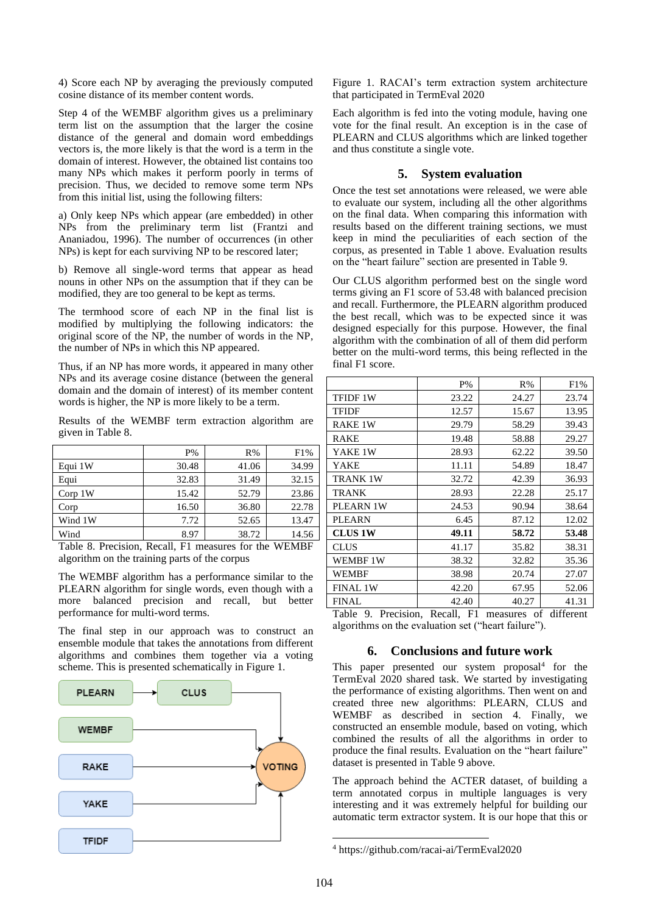4) Score each NP by averaging the previously computed cosine distance of its member content words.

Step 4 of the WEMBF algorithm gives us a preliminary term list on the assumption that the larger the cosine distance of the general and domain word embeddings vectors is, the more likely is that the word is a term in the domain of interest. However, the obtained list contains too many NPs which makes it perform poorly in terms of precision. Thus, we decided to remove some term NPs from this initial list, using the following filters:

a) Only keep NPs which appear (are embedded) in other NPs from the preliminary term list (Frantzi and Ananiadou, 1996). The number of occurrences (in other NPs) is kept for each surviving NP to be rescored later;

b) Remove all single-word terms that appear as head nouns in other NPs on the assumption that if they can be modified, they are too general to be kept as terms.

The termhood score of each NP in the final list is modified by multiplying the following indicators: the original score of the NP, the number of words in the NP, the number of NPs in which this NP appeared.

Thus, if an NP has more words, it appeared in many other NPs and its average cosine distance (between the general domain and the domain of interest) of its member content words is higher, the NP is more likely to be a term.

Results of the WEMBF term extraction algorithm are given in Table 8.

|                    | $P\%$ | R%    | F1%   |
|--------------------|-------|-------|-------|
| Equi 1W            | 30.48 | 41.06 | 34.99 |
| Equi               | 32.83 | 31.49 | 32.15 |
| Corp <sub>1W</sub> | 15.42 | 52.79 | 23.86 |
| Corp               | 16.50 | 36.80 | 22.78 |
| Wind 1W            | 7.72  | 52.65 | 13.47 |
| Wind               | 8.97  | 38.72 | 14.56 |

Table 8. Precision, Recall, F1 measures for the WEMBF algorithm on the training parts of the corpus

The WEMBF algorithm has a performance similar to the PLEARN algorithm for single words, even though with a more balanced precision and recall, but better performance for multi-word terms.

The final step in our approach was to construct an ensemble module that takes the annotations from different algorithms and combines them together via a voting scheme. This is presented schematically in Figure 1.



Figure 1. RACAI's term extraction system architecture that participated in TermEval 2020

Each algorithm is fed into the voting module, having one vote for the final result. An exception is in the case of PLEARN and CLUS algorithms which are linked together and thus constitute a single vote.

#### **5. System evaluation**

Once the test set annotations were released, we were able to evaluate our system, including all the other algorithms on the final data. When comparing this information with results based on the different training sections, we must keep in mind the peculiarities of each section of the corpus, as presented in Table 1 above. Evaluation results on the "heart failure" section are presented in Table 9.

Our CLUS algorithm performed best on the single word terms giving an F1 score of 53.48 with balanced precision and recall. Furthermore, the PLEARN algorithm produced the best recall, which was to be expected since it was designed especially for this purpose. However, the final algorithm with the combination of all of them did perform better on the multi-word terms, this being reflected in the final F1 score.

|                           | $P\%$         | R%             | F1%       |
|---------------------------|---------------|----------------|-----------|
| TFIDF 1W                  | 23.22         | 24.27          | 23.74     |
| <b>TFIDF</b>              | 12.57         | 15.67          | 13.95     |
| RAKE 1W                   | 29.79         | 58.29          | 39.43     |
| <b>RAKE</b>               | 19.48         | 58.88          | 29.27     |
| YAKE 1W                   | 28.93         | 62.22          | 39.50     |
| YAKE                      | 11.11         | 54.89          | 18.47     |
| <b>TRANK 1W</b>           | 32.72         | 42.39          | 36.93     |
| <b>TRANK</b>              | 28.93         | 22.28          | 25.17     |
| PLEARN 1W                 | 24.53         | 90.94          | 38.64     |
| <b>PLEARN</b>             | 6.45          | 87.12          | 12.02     |
| <b>CLUS 1W</b>            | 49.11         | 58.72          | 53.48     |
| <b>CLUS</b>               | 41.17         | 35.82          | 38.31     |
| WEMBF 1W                  | 38.32         | 32.82          | 35.36     |
| WEMBF                     | 38.98         | 20.74          | 27.07     |
| <b>FINAL 1W</b>           | 42.20         | 67.95          | 52.06     |
| <b>FINAL</b>              | 42.40         | 40.27          | 41.31     |
| Table<br>9.<br>Precision, | Recall.<br>F1 | of<br>measures | different |

algorithms on the evaluation set ("heart failure").

#### **6. Conclusions and future work**

This paper presented our system proposal<sup>4</sup> for the TermEval 2020 shared task. We started by investigating the performance of existing algorithms. Then went on and created three new algorithms: PLEARN, CLUS and WEMBF as described in section 4. Finally, we constructed an ensemble module, based on voting, which combined the results of all the algorithms in order to produce the final results. Evaluation on the "heart failure" dataset is presented in Table 9 above.

The approach behind the ACTER dataset, of building a term annotated corpus in multiple languages is very interesting and it was extremely helpful for building our automatic term extractor system. It is our hope that this or

<sup>4</sup> https://github.com/racai-ai/TermEval2020